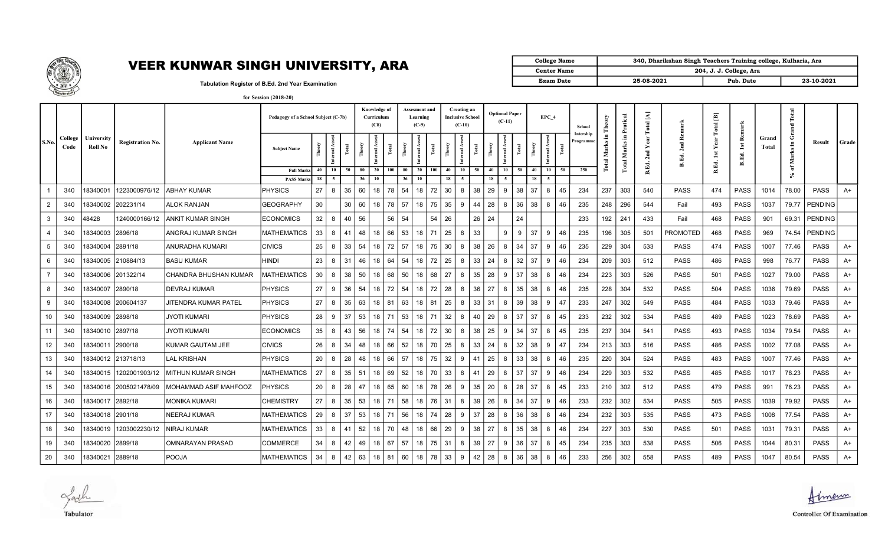

## VEER KUNWAR SINGH UNIVERSITY, ARA

| College Name       | 340, Dharikshan Singh Teachers Training college, Kulharia, Ara |                         |            |  |  |  |  |  |  |  |  |
|--------------------|----------------------------------------------------------------|-------------------------|------------|--|--|--|--|--|--|--|--|
| <b>Center Name</b> |                                                                | 204, J. J. College, Ara |            |  |  |  |  |  |  |  |  |
| <b>Exam Date</b>   | 25-08-2021                                                     | Pub. Date               | 23-10-2021 |  |  |  |  |  |  |  |  |

Tabulation Register of B.Ed. 2nd Year Examination

|  | for Session (2018-20) |  |
|--|-----------------------|--|
|--|-----------------------|--|

|                |                 |                       |                         |                           |                                        | Pedagogy of a School Subject (C-7b) |                |                        |                             |              |                 | <b>Assesment and</b><br>Learning<br>$(C-9)$ |     |          | Creating an<br><b>Inclusive School</b><br>$(C-10)$ |       |                         | <b>Optional Paper</b><br>$(C-11)$ |       |          | EPC 4                  | School               | Theory           |                | atical<br>Ā. | $\blacktriangle$<br>otal   |                   | $\overline{\Xi}$<br>Total    |                                               |                | Total<br>$\mathbb{R}$ |                 |       |  |
|----------------|-----------------|-----------------------|-------------------------|---------------------------|----------------------------------------|-------------------------------------|----------------|------------------------|-----------------------------|--------------|-----------------|---------------------------------------------|-----|----------|----------------------------------------------------|-------|-------------------------|-----------------------------------|-------|----------|------------------------|----------------------|------------------|----------------|--------------|----------------------------|-------------------|------------------------------|-----------------------------------------------|----------------|-----------------------|-----------------|-------|--|
| S.No.          | College<br>Code | University<br>Roll No | <b>Registration No.</b> | <b>Applicant Name</b>     | <b>Subject Name</b>                    |                                     | $\overline{a}$ | Theory<br><b>Fotal</b> | Ass <sub></sub><br>nternal. | <b>Fotal</b> | F <sub>60</sub> | ē                                           | ್   |          | nternal.                                           | Total | $\overline{\text{The}}$ | -3<br>nternal.                    | Total |          | nternal Asses<br>Total | Intership<br>rogramm | £.<br>otal Marks |                | Е.<br>Marks  | 됩<br>$\overline{N}$<br>Ed. | å<br>2nd<br>B.Ed. | ➤<br>$\overline{\mathbf{a}}$ | <b>Re</b><br>$\overline{\mathbf{a}}$<br>B.Ed. | Grand<br>Total | G<br>Marks in         | Result          | Grade |  |
|                |                 |                       |                         |                           | <b>Full Marks</b><br><b>PASS Marks</b> | 40<br>18                            | 10<br>- 5      | 50<br>80<br>36         | 20<br><b>10</b>             | 100          | 80<br>36        | 20<br>10                                    | 100 | 40<br>18 | 10<br>$\sim$                                       | 50    | 40<br>18                | 10                                | 50    | 40<br>18 | 10<br>50<br>-5         | 250                  |                  |                | Total        | ക്                         |                   | B.Ed.                        |                                               |                | ัธ                    |                 |       |  |
|                | 340             | 18340001              | 1223000976/12           | <b>ABHAY KUMAR</b>        | PHYSICS                                | 27                                  | 8              | 35<br>60               | 18                          | 78           | 54              | 18                                          | 72  | 30       | 8                                                  | 38    | 29                      | <b>q</b>                          | 38    | 37       | 8<br>45                | 234                  | 237              |                | 303          | 540                        | <b>PASS</b>       | 474                          | PASS                                          | 1014           | 78.00                 | PASS            | A+    |  |
| 2              | 340             | 18340002              | 202231/14               | ALOK RANJAN               | <b>GEOGRAPHY</b>                       | 30                                  |                | 30<br>60               | 18                          | 78           | 57              | 18                                          | 75  | 35       | 9                                                  | 44    | 28                      | 8                                 | 36    | 38       | 8<br>46                | 235                  | 248              |                | 296          | 544                        | Fail              | 493                          | <b>PASS</b>                                   | 1037           |                       | 79.77   PENDING |       |  |
| -3             | 340             | 48428                 | 1240000166/12           | IANKIT KUMAR SINGH        | <b>ECONOMICS</b>                       | 32                                  | 8              | $\frac{56}{56}$<br>40  |                             | 56           | 54              |                                             | 54  | 26       |                                                    | 26    | 24                      |                                   | 24    |          |                        | 233                  |                  | 192 241        |              | 433                        | Fail              | 468                          | <b>PASS</b>                                   | 901            |                       | 69.31   PENDING |       |  |
| $\overline{4}$ | 340             | 18340003              | 2896/18                 | ANGRAJ KUMAR SINGH        | <b>MATHEMATICS</b>                     | 33                                  | 8              | 48<br>41               | 18                          | 66           | 53              | 18                                          | 71  | 25       | 8                                                  | 33    |                         | 9                                 | 9     | 37       | 9<br>46                | 235                  |                  | 196 305        |              | 501                        | <b>PROMOTED</b>   | 468                          | <b>PASS</b>                                   | 969            |                       | 74.54 PENDING   |       |  |
| 5              | 340             | 18340004              | 2891/18                 | ANURADHA KUMARI           | <b>CIVICS</b>                          | 25                                  | 8              | 33<br>54               | 18                          | 72           | 57              | 18                                          | 75  | 30       | 8                                                  | 38    | 26                      | 8                                 | 34    | 37       | 9<br>46                | 235                  |                  | 229            | 304          | 533                        | PASS              | 474                          | <b>PASS</b>                                   | 1007           | 77.46                 | <b>PASS</b>     | $A+$  |  |
| 6              | 340             | 18340005              | 210884/13               | <b>BASU KUMAR</b>         | <b>HINDI</b>                           | 23                                  | 8              | 31<br>46               | 18                          | 64           | 54              | 18                                          | 72  | 25       | 8                                                  | 33    | 24                      | 8                                 | 32    | 37       | 9<br>46                | 234                  | 209              |                | 303          | 512                        | <b>PASS</b>       | 486                          | <b>PASS</b>                                   | 998            | 76.77                 | <b>PASS</b>     | A+    |  |
|                | 340             | 18340006              | 201322/14               | CHANDRA BHUSHAN KUMAR     | <b>MATHEMATICS</b>                     | 30                                  | 8              | 38<br>50               | 18                          | 68           | 50              | 18                                          | 68  | 27       | 8                                                  | 35    | 28                      | -9                                | 37    | 38       | 8<br>46                | 234                  | 223              |                | 303          | 526                        | <b>PASS</b>       | 501                          | <b>PASS</b>                                   | 1027           | 79.00                 | PASS            | A+    |  |
| 8              | 340             | 18340007              | 2890/18                 | <b>DEVRAJ KUMAR</b>       | PHYSICS                                | 27                                  | 9              | 36<br>54               | 18                          | 72           | 54              | 18                                          | 72  | 28       | 8                                                  | 36    | 27                      | 8                                 | 35    | 38       | 8<br>46                | 235                  | 228              |                | 304          | 532                        | PASS              | 504                          | <b>PASS</b>                                   | 1036           | 79.69                 | <b>PASS</b>     | A+    |  |
| 9              | 340             | 8340008               | 200604137               | JITENDRA KUMAR PATEL      | <b>PHYSICS</b>                         | 27                                  | 8              | 35<br>63               | 18                          | 81           | 63              | 18                                          | 81  | 25       | 8                                                  | 33    | 31                      | 8                                 | 39    | 38       | 9<br>47                | 233                  | 247              |                | 302          | 549                        | PASS              | 484                          | <b>PASS</b>                                   | 1033           | 79.46                 | PASS            | A+    |  |
| 10             | 340             | 18340009              | 2898/18                 | <b>JYOTI KUMARI</b>       | PHYSICS                                | 28                                  | 9              | 37<br>53               | 18                          | 71           | 53              | 18                                          | 71  | 32       | 8                                                  | 40    | 29                      | 8                                 | 37    | 37       | 8<br>45                | 233                  | 232              |                | 302          | 534                        | PASS              | 489                          | <b>PASS</b>                                   | 1023           | 78.69                 | PASS            | A+    |  |
|                | 340             | 18340010              | 2897/18                 | JYOTI KUMARI              | ECONOMICS                              | 35                                  | 8              | 43<br>56               | 18                          | 74           | 54              | 18                                          | 72  | 30       | 8                                                  | 38    | 25                      | 9                                 | 34    | 37       | 8<br>45                | 235                  | 237              |                | 304          | 541                        | PASS              | 493                          | <b>PASS</b>                                   | 1034           | 79.54                 | PASS            | A+    |  |
| 12             | 340             | 18340011              | 2900/18                 | KUMAR GAUTAM JEE          | <b>CIVICS</b>                          | 26                                  | 8              | 34<br>48               | 18                          | 66           | 52              | 18                                          | 70  | 25       | 8                                                  | 33    | 24                      | 8                                 | 32    | 38       | 9<br>47                | 234                  | 213              |                | 303          | 516                        | <b>PASS</b>       | 486                          | <b>PASS</b>                                   | 1002           | 77.08                 | <b>PASS</b>     | A+    |  |
| 13             | 340             | 18340012              | 213718/13               | LAL KRISHAN               | PHYSICS                                | 20                                  |                | 28<br>48               | 18                          | 66           | 57              | 18                                          | 75  | 32       | 9                                                  | 41    | 25                      |                                   | 33    | 38       | 8<br>46                | 235                  | 220              |                | 304          | 524                        | <b>PASS</b>       | 483                          | <b>PASS</b>                                   | 1007           | 77.46                 | <b>PASS</b>     | A+    |  |
| 14             | 340             | 18340015              | 1202001903/12           | <b>MITHUN KUMAR SINGH</b> | <b>MATHEMATICS</b>                     | 27                                  | 8              | 35<br>51               | 18                          | 69           | 52              | 18                                          | 70  | 33       | 8                                                  | 41    | 29                      | 8                                 | 37    | 37       | 9<br>46                | 234                  | 229              |                | 303          | 532                        | <b>PASS</b>       | 485                          | <b>PASS</b>                                   | 1017           | 78.23                 | PASS            | A+    |  |
| 15             | 340             | 18340016              | 12005021478/09          | MOHAMMAD ASIF MAHFOOZ     | <b>PHYSICS</b>                         | 20                                  | 8              | 28<br>47               | 18                          | 65           | 60              | 18                                          | 78  | 26       | 9                                                  | 35    | 20                      | 8                                 | 28    | 37       | 8<br>45                | 233                  |                  | $210$ 302      |              | 512                        | <b>PASS</b>       | 479                          | <b>PASS</b>                                   | 991            | 76.23                 | <b>PASS</b>     | A+    |  |
| 16             | 340             | 18340017              | 2892/18                 | <b>MONIKA KUMARI</b>      | <b>CHEMISTRY</b>                       | 27                                  | 8              | 35<br>53               | 18                          | 71           | 58              | 18                                          | 76  | 31       | 8                                                  | 39    | 26                      | 8                                 | 34    | 37       | 9<br>46                | 233                  |                  | $232 \mid 302$ |              | 534                        | PASS              | 505                          | <b>PASS</b>                                   | 1039           | 79.92                 | PASS            | A+    |  |
| 17             | 340             | 18340018              | 2901/18                 | NEERAJ KUMAR              | <b>MATHEMATICS</b>                     | 29                                  | 8              | 37<br>53               | 18                          | 71           | 56              | 18                                          | 74  | 28       | 9                                                  | 37    | 28                      | 8                                 | 36    | 38       | 8<br>46                | 234                  |                  | 232            | 303          | 535                        | <b>PASS</b>       | 473                          | <b>PASS</b>                                   | 1008           | 77.54                 | PASS            | A+    |  |
| 18             | 340             | 8340019               | 1203002230/12           | <b>NIRAJ KUMAR</b>        | <b>MATHEMATICS</b>                     | 33                                  | 8              | 41<br>52               | 18                          | 70           | 48              | 18                                          | 66  | 29       | 9                                                  | 38    | 27                      | 8                                 | 35    | 38       | 8<br>46                | 234                  | 227              |                | 303          | 530                        | <b>PASS</b>       | 501                          | <b>PASS</b>                                   | 1031           | 79.31                 | <b>PASS</b>     | A+    |  |
| 19             | 340             | 18340020              | 2899/18                 | OMNARAYAN PRASAD          | <b>COMMERCE</b>                        | 34                                  | 8              | 42<br>49               | 18 I                        | 67           | 57              | 18                                          | 75  | 31       | 8                                                  | 39    | 27                      | 9                                 | 36    | 37       | 8<br>45                | 234                  | 235              |                | 303          | 538                        | PASS              | 506                          | <b>PASS</b>                                   | 1044           | 80.31                 | <b>PASS</b>     | A+    |  |
| 20             | 340             | 18340021              | 2889/18                 | <b>POOJA</b>              | MATHEMATICS                            | 34                                  | 8              | 42<br>63               | 18 I                        | 81           | 60              | 18                                          | 78  | 33       | 9                                                  | 42    | 28                      | 8                                 | 36    | 38       | 8<br>46                | 233                  | 256              |                | 302          | 558                        | <b>PASS</b>       | 489                          | <b>PASS</b>                                   | 1047           | 80.54                 | <b>PASS</b>     | A+    |  |

Jack Tabulator